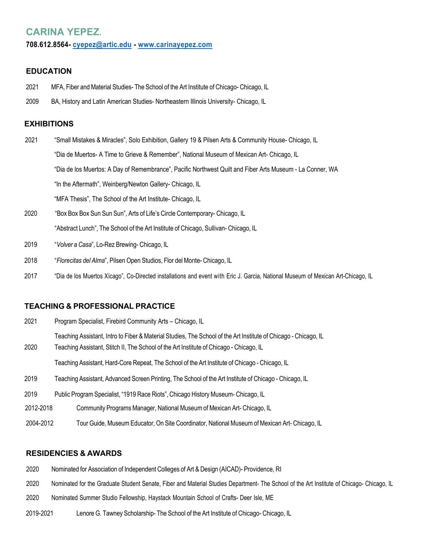# **CARINA YEPEZ.**

#### **708.612.8564- cyepez@artic.edu - www.carinayepez.com**

## **EDUCATION**

- 2021 MFA, Fiber and Material Studies- The School of the Art Institute of Chicago- Chicago, IL
- 2009 BA, History and Latin American Studies- Northeastern Illinois University- Chicago, IL

## **EXHIBITIONS**

- 2021 "Small Mistakes & Miracles", Solo Exhibition, Gallery 19 & Pilsen Arts & Community House- Chicago, IL "Dia de Muertos- A Time to Grieve & Remember", National Museum of Mexican Art- Chicago, IL "Dia de los Muertos: A Day of Remembrance", Pacific Northwest Quilt and Fiber Arts Museum - La Conner, WA "In the Aftermath", Weinberg/Newton Gallery- Chicago, IL "MFA Thesis", The School of the Art Institute- Chicago, IL
- 2020 "Box Box Box Sun Sun Sun", Arts of Life's Circle Contemporary- Chicago, IL "Abstract Lunch", The School of the Art Institute of Chicago, Sullivan- Chicago, IL
- 2019 "*Volver a Casa*", Lo-Rez Brewing- Chicago, IL
- 2018 "*Florecitas del Alma*", Pilsen Open Studios, Flor del Monte- Chicago, IL
- 2017 "Dia de los Muertos Xícago", Co-Directed installations and event with Eric J. Garcia, National Museum of Mexican Art-Chicago, IL

### **TEACHING & PROFESSIONAL PRACTICE**

| 2021      | Program Specialist, Firebird Community Arts - Chicago, IL                                                                                                                                                  |
|-----------|------------------------------------------------------------------------------------------------------------------------------------------------------------------------------------------------------------|
| 2020      | Teaching Assistant, Intro to Fiber & Material Studies, The School of the Art Institute of Chicago - Chicago, IL<br>Teaching Assistant, Stitch II, The School of the Art Institute of Chicago - Chicago, IL |
|           | Teaching Assistant, Hard-Core Repeat, The School of the Art Institute of Chicago - Chicago, IL                                                                                                             |
| 2019      | Teaching Assistant, Advanced Screen Printing, The School of the Art Institute of Chicago - Chicago, IL                                                                                                     |
| 2019      | Public Program Specialist, "1919 Race Riots", Chicago History Museum- Chicago, IL                                                                                                                          |
| 2012-2018 | Community Programs Manager, National Museum of Mexican Art- Chicago, IL                                                                                                                                    |
| 2004-2012 | Tour Guide, Museum Educator, On Site Coordinator, National Museum of Mexican Art- Chicago, IL                                                                                                              |

### **RESIDENCIES & AWARDS**

- 2020 Nominated for Association of Independent Colleges of Art & Design (AICAD)- Providence, RI
- 2020 Nominated for the Graduate Student Senate, Fiber and Material Studies Department- The School of the Art Institute of Chicago- Chicago, IL
- 2020 Nominated Summer Studio Fellowship, Haystack Mountain School of Crafts- Deer Isle, ME
- 2019-2021 Lenore G. Tawney Scholarship- The School of the Art Institute of Chicago- Chicago, IL